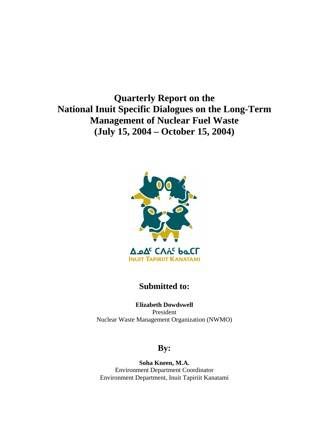**Quarterly Report on the National Inuit Specific Dialogues on the Long-Term Management of Nuclear Fuel Waste (July 15, 2004 – October 15, 2004)** 



### **Submitted to:**

**Elizabeth Dowdswell**  President Nuclear Waste Management Organization (NWMO)

## **By:**

**Soha Kneen, M.A.**  Environment Department Coordinator Environment Department, Inuit Tapiriit Kanatami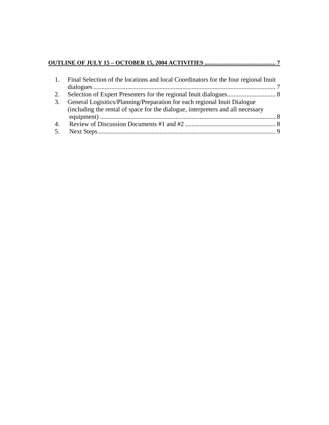# **OUTLINE OF JULY 15 – OCTOBER 15, 2004 ACTIVITIES ................................................ 7**

|    | 1. Final Selection of the locations and local Coordinators for the four regional Inuit |  |
|----|----------------------------------------------------------------------------------------|--|
| 2. |                                                                                        |  |
| 3. | General Logisitics/Planning/Preparation for each regional Inuit Dialogue               |  |
|    | (including the rental of space for the dialogue, interpreters and all necessary        |  |
|    |                                                                                        |  |
| 4. |                                                                                        |  |
| 5. |                                                                                        |  |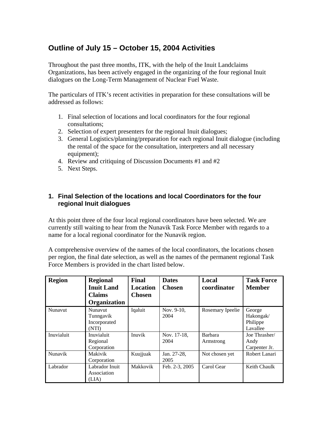## **Outline of July 15 – October 15, 2004 Activities**

Throughout the past three months, ITK, with the help of the Inuit Landclaims Organizations, has been actively engaged in the organizing of the four regional Inuit dialogues on the Long-Term Management of Nuclear Fuel Waste.

The particulars of ITK's recent activities in preparation for these consultations will be addressed as follows:

- 1. Final selection of locations and local coordinators for the four regional consultations;
- 2. Selection of expert presenters for the regional Inuit dialogues;
- 3. General Logistics/planning/preparation for each regional Inuit dialogue (including the rental of the space for the consultation, interpreters and all necessary equipment);
- 4. Review and critiquing of Discussion Documents #1 and #2
- 5. Next Steps.

#### **1. Final Selection of the locations and local Coordinators for the four regional Inuit dialogues**

At this point three of the four local regional coordinators have been selected. We are currently still waiting to hear from the Nunavik Task Force Member with regards to a name for a local regional coordinator for the Nunavik region.

A comprehensive overview of the names of the local coordinators, the locations chosen per region, the final date selection, as well as the names of the permanent regional Task Force Members is provided in the chart listed below.

| <b>Region</b> | <b>Regional</b><br><b>Inuit Land</b><br><b>Claims</b><br>Organization | Final<br><b>Location</b><br><b>Chosen</b> | <b>Dates</b><br><b>Chosen</b> | Local<br>coordinator        | <b>Task Force</b><br><b>Member</b>          |
|---------------|-----------------------------------------------------------------------|-------------------------------------------|-------------------------------|-----------------------------|---------------------------------------------|
| Nunavut       | <b>Nunavut</b><br>Tunngavik<br>Incorporated<br>(NTI)                  | Iqaluit                                   | Nov. 9-10,<br>2004            | Rosemary Ipeelie            | George<br>Hakongak/<br>Philippe<br>Lavallee |
| Inuvialuit    | Inuvialuit<br>Regional<br>Corporation                                 | Inuvik                                    | Nov. 17-18,<br>2004           | <b>Barbara</b><br>Armstrong | Joe Thrasher/<br>Andy<br>Carpenter Jr.      |
| Nunavik       | Makivik<br>Corporation                                                | Kuujjuak                                  | Jan. 27-28,<br>2005           | Not chosen yet              | Robert Lanari                               |
| Labrador      | Labrador Inuit<br>Association<br>(LIA)                                | Makkovik                                  | Feb. 2-3, 2005                | Carol Gear                  | Keith Chaulk                                |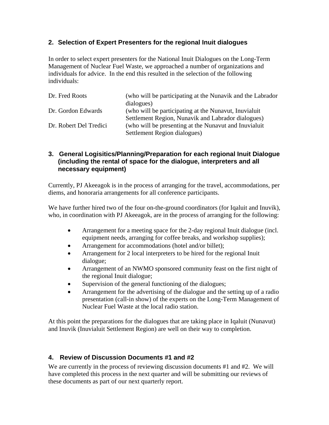#### **2. Selection of Expert Presenters for the regional Inuit dialogues**

In order to select expert presenters for the National Inuit Dialogues on the Long-Term Management of Nuclear Fuel Waste, we approached a number of organizations and individuals for advice. In the end this resulted in the selection of the following individuals:

| Dr. Fred Roots         | (who will be participating at the Nunavik and the Labrador |  |  |
|------------------------|------------------------------------------------------------|--|--|
|                        | dialogues)                                                 |  |  |
| Dr. Gordon Edwards     | (who will be participating at the Nunavut, Inuvialuit)     |  |  |
|                        | Settlement Region, Nunavik and Labrador dialogues)         |  |  |
| Dr. Robert Del Tredici | (who will be presenting at the Nunavut and Inuvialuit)     |  |  |
|                        | Settlement Region dialogues)                               |  |  |

#### **3. General Logisitics/Planning/Preparation for each regional Inuit Dialogue (including the rental of space for the dialogue, interpreters and all necessary equipment)**

Currently, PJ Akeeagok is in the process of arranging for the travel, accommodations, per diems, and honoraria arrangements for all conference participants.

We have further hired two of the four on-the-ground coordinators (for Iqaluit and Inuvik), who, in coordination with PJ Akeeagok, are in the process of arranging for the following:

- Arrangement for a meeting space for the 2-day regional Inuit dialogue (incl. equipment needs, arranging for coffee breaks, and workshop supplies);
- Arrangement for accommodations (hotel and/or billet);
- Arrangement for 2 local interpreters to be hired for the regional Inuit dialogue;
- Arrangement of an NWMO sponsored community feast on the first night of the regional Inuit dialogue;
- Supervision of the general functioning of the dialogues;
- Arrangement for the advertising of the dialogue and the setting up of a radio presentation (call-in show) of the experts on the Long-Term Management of Nuclear Fuel Waste at the local radio station.

At this point the preparations for the dialogues that are taking place in Iqaluit (Nunavut) and Inuvik (Inuvialuit Settlement Region) are well on their way to completion.

#### **4. Review of Discussion Documents #1 and #2**

We are currently in the process of reviewing discussion documents #1 and #2. We will have completed this process in the next quarter and will be submitting our reviews of these documents as part of our next quarterly report.